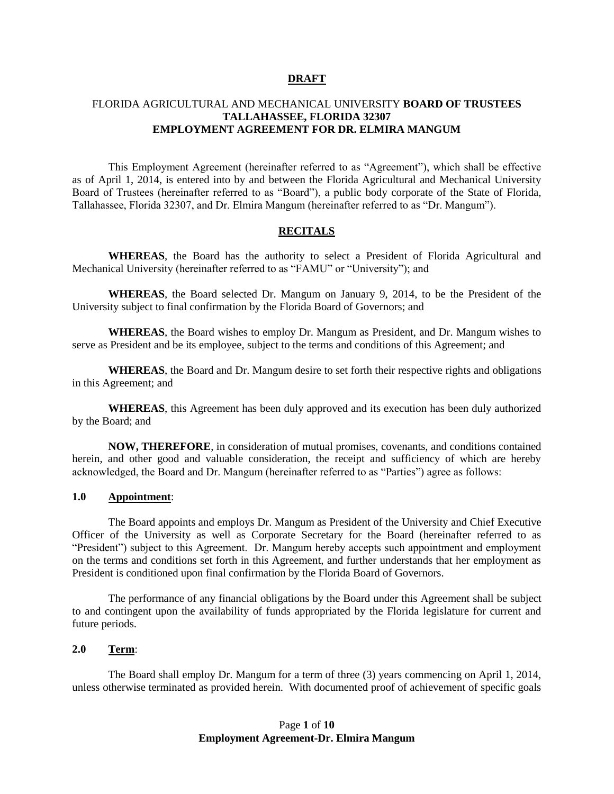#### **DRAFT**

### FLORIDA AGRICULTURAL AND MECHANICAL UNIVERSITY **BOARD OF TRUSTEES TALLAHASSEE, FLORIDA 32307 EMPLOYMENT AGREEMENT FOR DR. ELMIRA MANGUM**

This Employment Agreement (hereinafter referred to as "Agreement"), which shall be effective as of April 1, 2014, is entered into by and between the Florida Agricultural and Mechanical University Board of Trustees (hereinafter referred to as "Board"), a public body corporate of the State of Florida, Tallahassee, Florida 32307, and Dr. Elmira Mangum (hereinafter referred to as "Dr. Mangum").

### **RECITALS**

**WHEREAS**, the Board has the authority to select a President of Florida Agricultural and Mechanical University (hereinafter referred to as "FAMU" or "University"); and

**WHEREAS**, the Board selected Dr. Mangum on January 9, 2014, to be the President of the University subject to final confirmation by the Florida Board of Governors; and

**WHEREAS**, the Board wishes to employ Dr. Mangum as President, and Dr. Mangum wishes to serve as President and be its employee, subject to the terms and conditions of this Agreement; and

**WHEREAS**, the Board and Dr. Mangum desire to set forth their respective rights and obligations in this Agreement; and

**WHEREAS**, this Agreement has been duly approved and its execution has been duly authorized by the Board; and

**NOW, THEREFORE**, in consideration of mutual promises, covenants, and conditions contained herein, and other good and valuable consideration, the receipt and sufficiency of which are hereby acknowledged, the Board and Dr. Mangum (hereinafter referred to as "Parties") agree as follows:

#### **1.0 Appointment**:

 The Board appoints and employs Dr. Mangum as President of the University and Chief Executive Officer of the University as well as Corporate Secretary for the Board (hereinafter referred to as "President") subject to this Agreement. Dr. Mangum hereby accepts such appointment and employment on the terms and conditions set forth in this Agreement, and further understands that her employment as President is conditioned upon final confirmation by the Florida Board of Governors.

The performance of any financial obligations by the Board under this Agreement shall be subject to and contingent upon the availability of funds appropriated by the Florida legislature for current and future periods.

#### **2.0 Term**:

The Board shall employ Dr. Mangum for a term of three (3) years commencing on April 1, 2014, unless otherwise terminated as provided herein. With documented proof of achievement of specific goals

# Page **1** of **10 Employment Agreement-Dr. Elmira Mangum**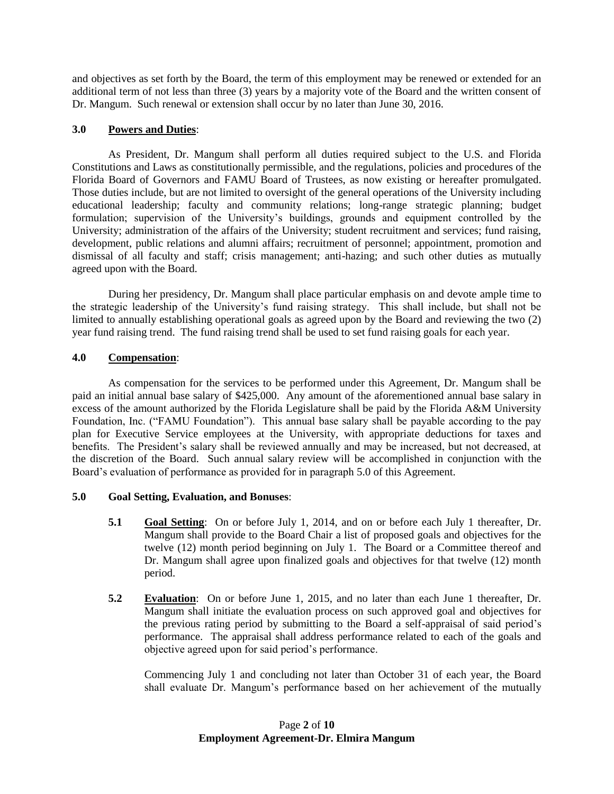and objectives as set forth by the Board, the term of this employment may be renewed or extended for an additional term of not less than three (3) years by a majority vote of the Board and the written consent of Dr. Mangum. Such renewal or extension shall occur by no later than June 30, 2016.

# **3.0 Powers and Duties**:

As President, Dr. Mangum shall perform all duties required subject to the U.S. and Florida Constitutions and Laws as constitutionally permissible, and the regulations, policies and procedures of the Florida Board of Governors and FAMU Board of Trustees, as now existing or hereafter promulgated. Those duties include, but are not limited to oversight of the general operations of the University including educational leadership; faculty and community relations; long-range strategic planning; budget formulation; supervision of the University's buildings, grounds and equipment controlled by the University; administration of the affairs of the University; student recruitment and services; fund raising, development, public relations and alumni affairs; recruitment of personnel; appointment, promotion and dismissal of all faculty and staff; crisis management; anti-hazing; and such other duties as mutually agreed upon with the Board.

During her presidency, Dr. Mangum shall place particular emphasis on and devote ample time to the strategic leadership of the University's fund raising strategy. This shall include, but shall not be limited to annually establishing operational goals as agreed upon by the Board and reviewing the two (2) year fund raising trend. The fund raising trend shall be used to set fund raising goals for each year.

# **4.0 Compensation**:

As compensation for the services to be performed under this Agreement, Dr. Mangum shall be paid an initial annual base salary of \$425,000. Any amount of the aforementioned annual base salary in excess of the amount authorized by the Florida Legislature shall be paid by the Florida A&M University Foundation, Inc. ("FAMU Foundation"). This annual base salary shall be payable according to the pay plan for Executive Service employees at the University, with appropriate deductions for taxes and benefits. The President's salary shall be reviewed annually and may be increased, but not decreased, at the discretion of the Board. Such annual salary review will be accomplished in conjunction with the Board's evaluation of performance as provided for in paragraph 5.0 of this Agreement.

## **5.0 Goal Setting, Evaluation, and Bonuses**:

- **5.1 Goal Setting**: On or before July 1, 2014, and on or before each July 1 thereafter, Dr. Mangum shall provide to the Board Chair a list of proposed goals and objectives for the twelve (12) month period beginning on July 1. The Board or a Committee thereof and Dr. Mangum shall agree upon finalized goals and objectives for that twelve (12) month period.
- **5.2 Evaluation**: On or before June 1, 2015, and no later than each June 1 thereafter, Dr. Mangum shall initiate the evaluation process on such approved goal and objectives for the previous rating period by submitting to the Board a self-appraisal of said period's performance. The appraisal shall address performance related to each of the goals and objective agreed upon for said period's performance.

Commencing July 1 and concluding not later than October 31 of each year, the Board shall evaluate Dr. Mangum's performance based on her achievement of the mutually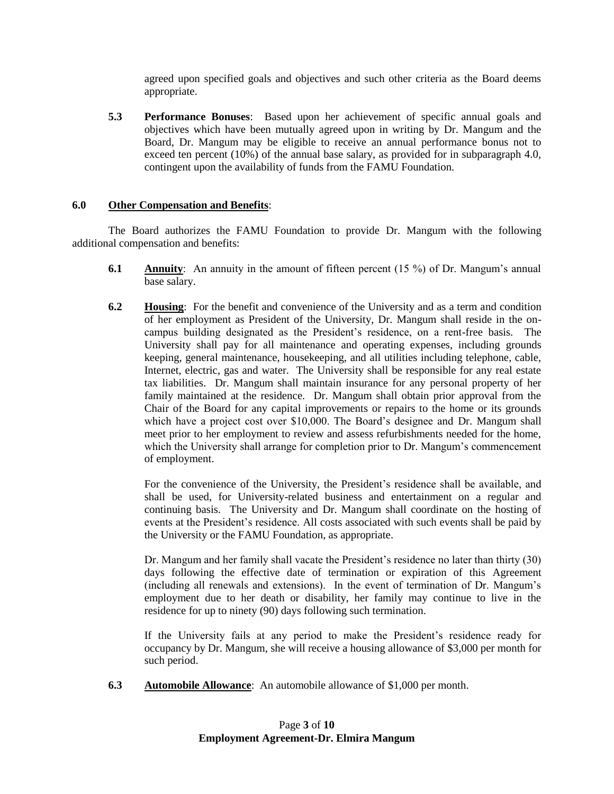agreed upon specified goals and objectives and such other criteria as the Board deems appropriate.

**5.3 Performance Bonuses**: Based upon her achievement of specific annual goals and objectives which have been mutually agreed upon in writing by Dr. Mangum and the Board, Dr. Mangum may be eligible to receive an annual performance bonus not to exceed ten percent (10%) of the annual base salary, as provided for in subparagraph 4.0, contingent upon the availability of funds from the FAMU Foundation.

## **6.0 Other Compensation and Benefits**:

The Board authorizes the FAMU Foundation to provide Dr. Mangum with the following additional compensation and benefits:

- **6.1 Annuity**: An annuity in the amount of fifteen percent (15 %) of Dr. Mangum's annual base salary.
- **6.2 Housing**: For the benefit and convenience of the University and as a term and condition of her employment as President of the University, Dr. Mangum shall reside in the oncampus building designated as the President's residence, on a rent-free basis. The University shall pay for all maintenance and operating expenses, including grounds keeping, general maintenance, housekeeping, and all utilities including telephone, cable, Internet, electric, gas and water. The University shall be responsible for any real estate tax liabilities. Dr. Mangum shall maintain insurance for any personal property of her family maintained at the residence. Dr. Mangum shall obtain prior approval from the Chair of the Board for any capital improvements or repairs to the home or its grounds which have a project cost over \$10,000. The Board's designee and Dr. Mangum shall meet prior to her employment to review and assess refurbishments needed for the home, which the University shall arrange for completion prior to Dr. Mangum's commencement of employment.

For the convenience of the University, the President's residence shall be available, and shall be used, for University-related business and entertainment on a regular and continuing basis. The University and Dr. Mangum shall coordinate on the hosting of events at the President's residence. All costs associated with such events shall be paid by the University or the FAMU Foundation, as appropriate.

Dr. Mangum and her family shall vacate the President's residence no later than thirty (30) days following the effective date of termination or expiration of this Agreement (including all renewals and extensions). In the event of termination of Dr. Mangum's employment due to her death or disability, her family may continue to live in the residence for up to ninety (90) days following such termination.

If the University fails at any period to make the President's residence ready for occupancy by Dr. Mangum, she will receive a housing allowance of \$3,000 per month for such period.

**6.3 Automobile Allowance**: An automobile allowance of \$1,000 per month.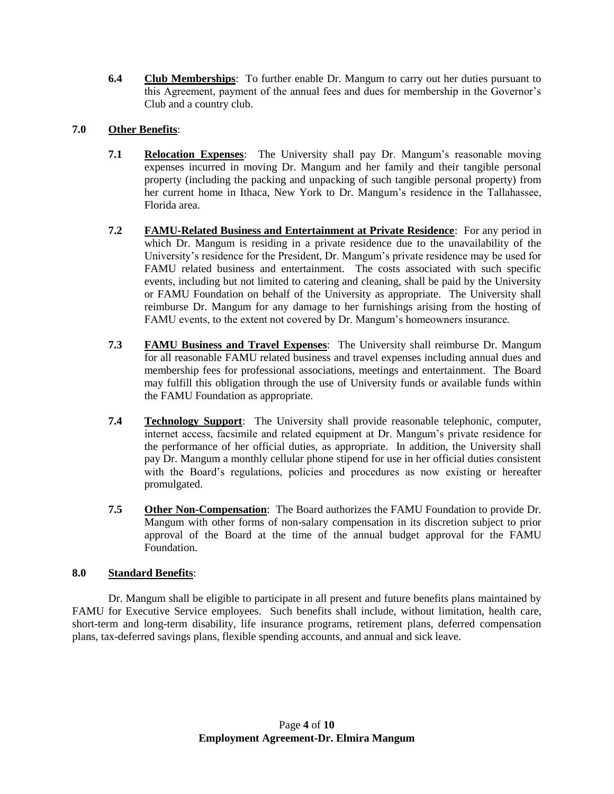**6.4 Club Memberships**: To further enable Dr. Mangum to carry out her duties pursuant to this Agreement, payment of the annual fees and dues for membership in the Governor's Club and a country club.

# **7.0 Other Benefits**:

- **7.1 Relocation Expenses**: The University shall pay Dr. Mangum's reasonable moving expenses incurred in moving Dr. Mangum and her family and their tangible personal property (including the packing and unpacking of such tangible personal property) from her current home in Ithaca, New York to Dr. Mangum's residence in the Tallahassee, Florida area.
- **7.2 FAMU-Related Business and Entertainment at Private Residence**: For any period in which Dr. Mangum is residing in a private residence due to the unavailability of the University's residence for the President, Dr. Mangum's private residence may be used for FAMU related business and entertainment. The costs associated with such specific events, including but not limited to catering and cleaning, shall be paid by the University or FAMU Foundation on behalf of the University as appropriate. The University shall reimburse Dr. Mangum for any damage to her furnishings arising from the hosting of FAMU events, to the extent not covered by Dr. Mangum's homeowners insurance.
- **7.3 FAMU Business and Travel Expenses**: The University shall reimburse Dr. Mangum for all reasonable FAMU related business and travel expenses including annual dues and membership fees for professional associations, meetings and entertainment. The Board may fulfill this obligation through the use of University funds or available funds within the FAMU Foundation as appropriate.
- **7.4 Technology Support**: The University shall provide reasonable telephonic, computer, internet access, facsimile and related equipment at Dr. Mangum's private residence for the performance of her official duties, as appropriate. In addition, the University shall pay Dr. Mangum a monthly cellular phone stipend for use in her official duties consistent with the Board's regulations, policies and procedures as now existing or hereafter promulgated.
- **7.5 Other Non-Compensation**: The Board authorizes the FAMU Foundation to provide Dr. Mangum with other forms of non-salary compensation in its discretion subject to prior approval of the Board at the time of the annual budget approval for the FAMU Foundation.

# **8.0 Standard Benefits**:

Dr. Mangum shall be eligible to participate in all present and future benefits plans maintained by FAMU for Executive Service employees. Such benefits shall include, without limitation, health care, short-term and long-term disability, life insurance programs, retirement plans, deferred compensation plans, tax-deferred savings plans, flexible spending accounts, and annual and sick leave.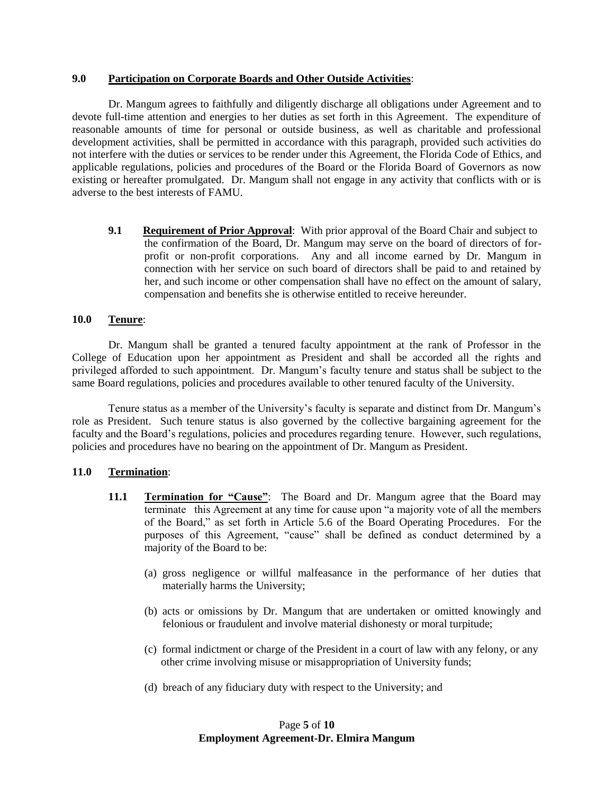### **9.0 Participation on Corporate Boards and Other Outside Activities**:

 Dr. Mangum agrees to faithfully and diligently discharge all obligations under Agreement and to devote full-time attention and energies to her duties as set forth in this Agreement. The expenditure of reasonable amounts of time for personal or outside business, as well as charitable and professional development activities, shall be permitted in accordance with this paragraph, provided such activities do not interfere with the duties or services to be render under this Agreement, the Florida Code of Ethics, and applicable regulations, policies and procedures of the Board or the Florida Board of Governors as now existing or hereafter promulgated. Dr. Mangum shall not engage in any activity that conflicts with or is adverse to the best interests of FAMU.

**9.1** Requirement of Prior Approval: With prior approval of the Board Chair and subject to the confirmation of the Board, Dr. Mangum may serve on the board of directors of forprofit or non-profit corporations. Any and all income earned by Dr. Mangum in connection with her service on such board of directors shall be paid to and retained by her, and such income or other compensation shall have no effect on the amount of salary, compensation and benefits she is otherwise entitled to receive hereunder.

## **10.0 Tenure**:

Dr. Mangum shall be granted a tenured faculty appointment at the rank of Professor in the College of Education upon her appointment as President and shall be accorded all the rights and privileged afforded to such appointment. Dr. Mangum's faculty tenure and status shall be subject to the same Board regulations, policies and procedures available to other tenured faculty of the University.

Tenure status as a member of the University's faculty is separate and distinct from Dr. Mangum's role as President. Such tenure status is also governed by the collective bargaining agreement for the faculty and the Board's regulations, policies and procedures regarding tenure. However, such regulations, policies and procedures have no bearing on the appointment of Dr. Mangum as President.

## **11.0 Termination**:

- **11.1 Termination for "Cause":** The Board and Dr. Mangum agree that the Board may terminate this Agreement at any time for cause upon "a majority vote of all the members of the Board," as set forth in Article 5.6 of the Board Operating Procedures. For the purposes of this Agreement, "cause" shall be defined as conduct determined by a majority of the Board to be:
	- (a) gross negligence or willful malfeasance in the performance of her duties that materially harms the University;
	- (b) acts or omissions by Dr. Mangum that are undertaken or omitted knowingly and felonious or fraudulent and involve material dishonesty or moral turpitude;
	- (c) formal indictment or charge of the President in a court of law with any felony, or any other crime involving misuse or misappropriation of University funds;
	- (d) breach of any fiduciary duty with respect to the University; and

# Page **5** of **10 Employment Agreement-Dr. Elmira Mangum**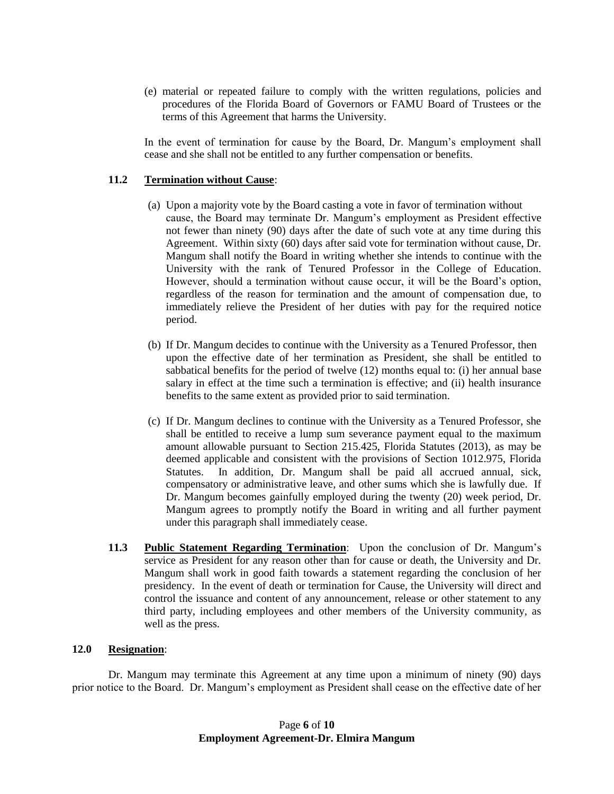(e) material or repeated failure to comply with the written regulations, policies and procedures of the Florida Board of Governors or FAMU Board of Trustees or the terms of this Agreement that harms the University.

In the event of termination for cause by the Board, Dr. Mangum's employment shall cease and she shall not be entitled to any further compensation or benefits.

## **11.2 Termination without Cause**:

- (a) Upon a majority vote by the Board casting a vote in favor of termination without cause, the Board may terminate Dr. Mangum's employment as President effective not fewer than ninety (90) days after the date of such vote at any time during this Agreement. Within sixty (60) days after said vote for termination without cause, Dr. Mangum shall notify the Board in writing whether she intends to continue with the University with the rank of Tenured Professor in the College of Education. However, should a termination without cause occur, it will be the Board's option, regardless of the reason for termination and the amount of compensation due, to immediately relieve the President of her duties with pay for the required notice period.
- (b) If Dr. Mangum decides to continue with the University as a Tenured Professor, then upon the effective date of her termination as President, she shall be entitled to sabbatical benefits for the period of twelve (12) months equal to: (i) her annual base salary in effect at the time such a termination is effective; and (ii) health insurance benefits to the same extent as provided prior to said termination.
- (c) If Dr. Mangum declines to continue with the University as a Tenured Professor, she shall be entitled to receive a lump sum severance payment equal to the maximum amount allowable pursuant to Section 215.425, Florida Statutes (2013), as may be deemed applicable and consistent with the provisions of Section 1012.975, Florida Statutes. In addition, Dr. Mangum shall be paid all accrued annual, sick, compensatory or administrative leave, and other sums which she is lawfully due. If Dr. Mangum becomes gainfully employed during the twenty (20) week period, Dr. Mangum agrees to promptly notify the Board in writing and all further payment under this paragraph shall immediately cease.
- **11.3 Public Statement Regarding Termination**: Upon the conclusion of Dr. Mangum's service as President for any reason other than for cause or death, the University and Dr. Mangum shall work in good faith towards a statement regarding the conclusion of her presidency. In the event of death or termination for Cause, the University will direct and control the issuance and content of any announcement, release or other statement to any third party, including employees and other members of the University community, as well as the press.

#### **12.0 Resignation**:

Dr. Mangum may terminate this Agreement at any time upon a minimum of ninety (90) days prior notice to the Board. Dr. Mangum's employment as President shall cease on the effective date of her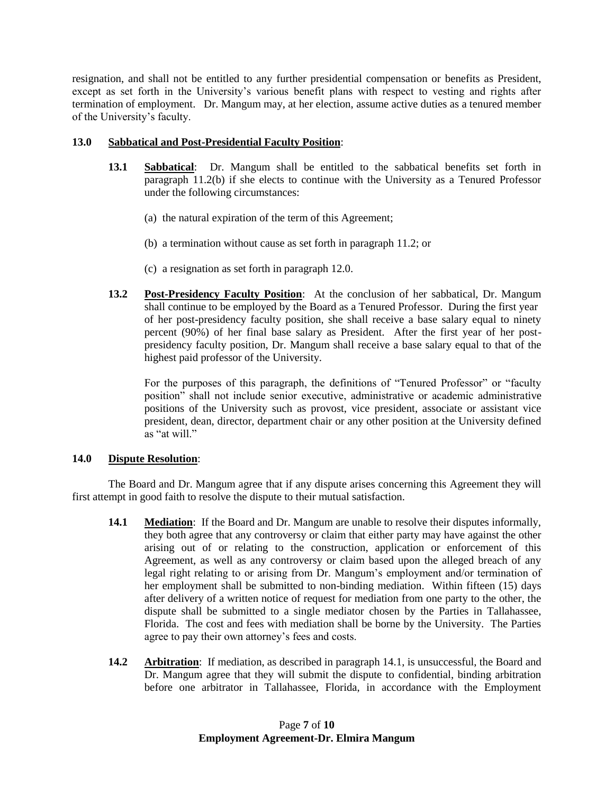resignation, and shall not be entitled to any further presidential compensation or benefits as President, except as set forth in the University's various benefit plans with respect to vesting and rights after termination of employment. Dr. Mangum may, at her election, assume active duties as a tenured member of the University's faculty.

## **13.0 Sabbatical and Post-Presidential Faculty Position**:

- **13.1 Sabbatical**: Dr. Mangum shall be entitled to the sabbatical benefits set forth in paragraph 11.2(b) if she elects to continue with the University as a Tenured Professor under the following circumstances:
	- (a) the natural expiration of the term of this Agreement;
	- (b) a termination without cause as set forth in paragraph 11.2; or
	- (c) a resignation as set forth in paragraph 12.0.
- **13.2 Post-Presidency Faculty Position**: At the conclusion of her sabbatical, Dr. Mangum shall continue to be employed by the Board as a Tenured Professor. During the first year of her post-presidency faculty position, she shall receive a base salary equal to ninety percent (90%) of her final base salary as President. After the first year of her postpresidency faculty position, Dr. Mangum shall receive a base salary equal to that of the highest paid professor of the University.

For the purposes of this paragraph, the definitions of "Tenured Professor" or "faculty position" shall not include senior executive, administrative or academic administrative positions of the University such as provost, vice president, associate or assistant vice president, dean, director, department chair or any other position at the University defined as "at will."

## **14.0 Dispute Resolution**:

The Board and Dr. Mangum agree that if any dispute arises concerning this Agreement they will first attempt in good faith to resolve the dispute to their mutual satisfaction.

- **14.1 Mediation**: If the Board and Dr. Mangum are unable to resolve their disputes informally, they both agree that any controversy or claim that either party may have against the other arising out of or relating to the construction, application or enforcement of this Agreement, as well as any controversy or claim based upon the alleged breach of any legal right relating to or arising from Dr. Mangum's employment and/or termination of her employment shall be submitted to non-binding mediation. Within fifteen (15) days after delivery of a written notice of request for mediation from one party to the other, the dispute shall be submitted to a single mediator chosen by the Parties in Tallahassee, Florida. The cost and fees with mediation shall be borne by the University. The Parties agree to pay their own attorney's fees and costs.
- **14.2 Arbitration**: If mediation, as described in paragraph 14.1, is unsuccessful, the Board and Dr. Mangum agree that they will submit the dispute to confidential, binding arbitration before one arbitrator in Tallahassee, Florida, in accordance with the Employment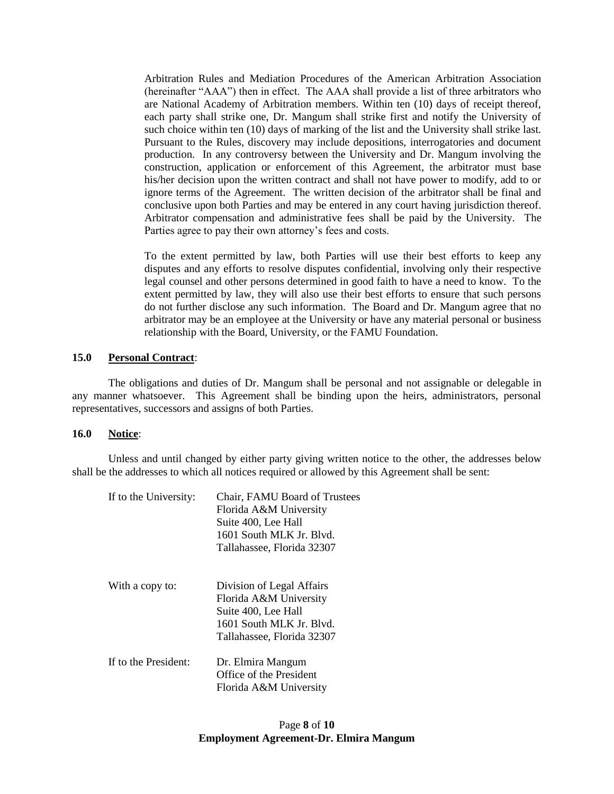Arbitration Rules and Mediation Procedures of the American Arbitration Association (hereinafter "AAA") then in effect. The AAA shall provide a list of three arbitrators who are National Academy of Arbitration members. Within ten (10) days of receipt thereof, each party shall strike one, Dr. Mangum shall strike first and notify the University of such choice within ten (10) days of marking of the list and the University shall strike last. Pursuant to the Rules, discovery may include depositions, interrogatories and document production. In any controversy between the University and Dr. Mangum involving the construction, application or enforcement of this Agreement, the arbitrator must base his/her decision upon the written contract and shall not have power to modify, add to or ignore terms of the Agreement. The written decision of the arbitrator shall be final and conclusive upon both Parties and may be entered in any court having jurisdiction thereof. Arbitrator compensation and administrative fees shall be paid by the University. The Parties agree to pay their own attorney's fees and costs.

To the extent permitted by law, both Parties will use their best efforts to keep any disputes and any efforts to resolve disputes confidential, involving only their respective legal counsel and other persons determined in good faith to have a need to know. To the extent permitted by law, they will also use their best efforts to ensure that such persons do not further disclose any such information. The Board and Dr. Mangum agree that no arbitrator may be an employee at the University or have any material personal or business relationship with the Board, University, or the FAMU Foundation.

#### **15.0 Personal Contract**:

The obligations and duties of Dr. Mangum shall be personal and not assignable or delegable in any manner whatsoever. This Agreement shall be binding upon the heirs, administrators, personal representatives, successors and assigns of both Parties.

#### **16.0 Notice**:

Unless and until changed by either party giving written notice to the other, the addresses below shall be the addresses to which all notices required or allowed by this Agreement shall be sent:

| If to the University: | Chair, FAMU Board of Trustees<br>Florida A&M University<br>Suite 400, Lee Hall<br>1601 South MLK Jr. Blvd.<br>Tallahassee, Florida 32307 |
|-----------------------|------------------------------------------------------------------------------------------------------------------------------------------|
| With a copy to:       | Division of Legal Affairs<br>Florida A&M University<br>Suite 400, Lee Hall<br>1601 South MLK Jr. Blvd.<br>Tallahassee, Florida 32307     |
| If to the President:  | Dr. Elmira Mangum<br>Office of the President<br>Florida A&M University                                                                   |

# Page **8** of **10 Employment Agreement-Dr. Elmira Mangum**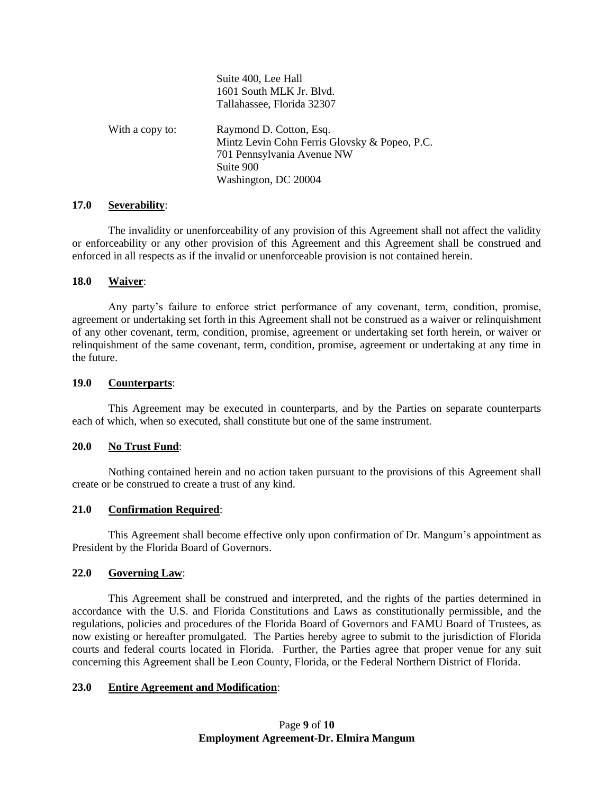|                 | Suite 400, Lee Hall<br>1601 South MLK Jr. Blvd.<br>Tallahassee, Florida 32307                                                               |
|-----------------|---------------------------------------------------------------------------------------------------------------------------------------------|
| With a copy to: | Raymond D. Cotton, Esq.<br>Mintz Levin Cohn Ferris Glovsky & Popeo, P.C.<br>701 Pennsylvania Avenue NW<br>Suite 900<br>Washington, DC 20004 |

#### **17.0 Severability**:

The invalidity or unenforceability of any provision of this Agreement shall not affect the validity or enforceability or any other provision of this Agreement and this Agreement shall be construed and enforced in all respects as if the invalid or unenforceable provision is not contained herein.

## **18.0 Waiver**:

Any party's failure to enforce strict performance of any covenant, term, condition, promise, agreement or undertaking set forth in this Agreement shall not be construed as a waiver or relinquishment of any other covenant, term, condition, promise, agreement or undertaking set forth herein, or waiver or relinquishment of the same covenant, term, condition, promise, agreement or undertaking at any time in the future.

### **19.0 Counterparts**:

This Agreement may be executed in counterparts, and by the Parties on separate counterparts each of which, when so executed, shall constitute but one of the same instrument.

## **20.0 No Trust Fund**:

Nothing contained herein and no action taken pursuant to the provisions of this Agreement shall create or be construed to create a trust of any kind.

## **21.0 Confirmation Required**:

This Agreement shall become effective only upon confirmation of Dr. Mangum's appointment as President by the Florida Board of Governors.

## **22.0 Governing Law**:

This Agreement shall be construed and interpreted, and the rights of the parties determined in accordance with the U.S. and Florida Constitutions and Laws as constitutionally permissible, and the regulations, policies and procedures of the Florida Board of Governors and FAMU Board of Trustees, as now existing or hereafter promulgated. The Parties hereby agree to submit to the jurisdiction of Florida courts and federal courts located in Florida. Further, the Parties agree that proper venue for any suit concerning this Agreement shall be Leon County, Florida, or the Federal Northern District of Florida.

## **23.0 Entire Agreement and Modification**: